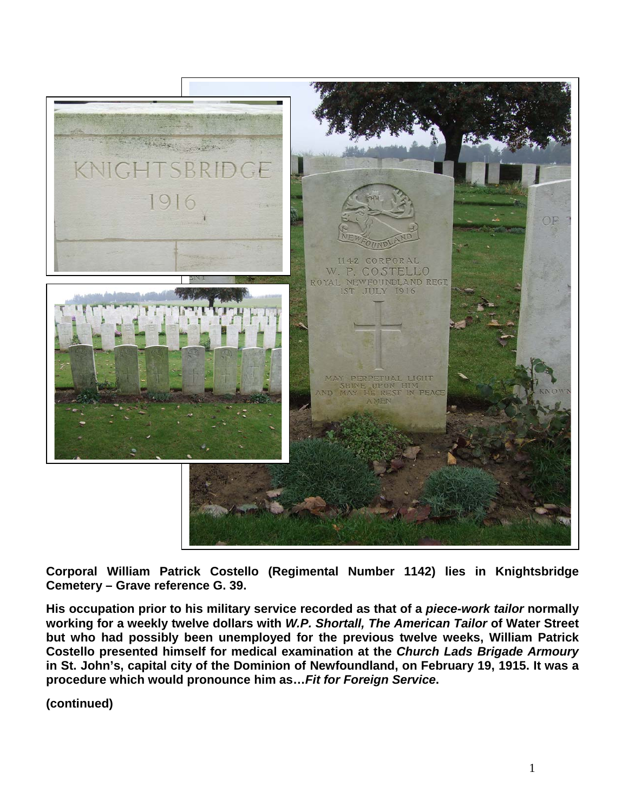

**Corporal William Patrick Costello (Regimental Number 1142) lies in Knightsbridge Cemetery – Grave reference G. 39.**

**His occupation prior to his military service recorded as that of a** *piece-work tailor* **normally working for a weekly twelve dollars with** *W.P. Shortall, The American Tailor* **of Water Street but who had possibly been unemployed for the previous twelve weeks, William Patrick Costello presented himself for medical examination at the** *Church Lads Brigade Armoury* **in St. John's, capital city of the Dominion of Newfoundland, on February 19, 1915. It was a procedure which would pronounce him as…***Fit for Foreign Service***.**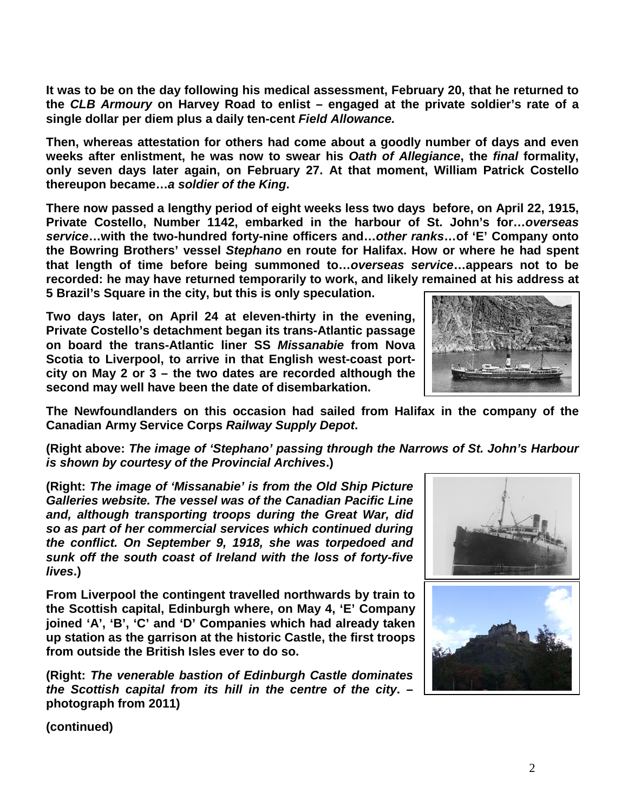**It was to be on the day following his medical assessment, February 20, that he returned to the** *CLB Armoury* **on Harvey Road to enlist – engaged at the private soldier's rate of a single dollar per diem plus a daily ten-cent** *Field Allowance.*

**Then, whereas attestation for others had come about a goodly number of days and even weeks after enlistment, he was now to swear his** *Oath of Allegiance***, the** *final* **formality, only seven days later again, on February 27. At that moment, William Patrick Costello thereupon became…***a soldier of the King***.**

**There now passed a lengthy period of eight weeks less two days before, on April 22, 1915, Private Costello, Number 1142, embarked in the harbour of St. John's for…***overseas service***…with the two-hundred forty-nine officers and…***other ranks***…of 'E' Company onto the Bowring Brothers' vessel** *Stephano* **en route for Halifax. How or where he had spent that length of time before being summoned to…***overseas service***…appears not to be recorded: he may have returned temporarily to work, and likely remained at his address at 5 Brazil's Square in the city, but this is only speculation.**

**Two days later, on April 24 at eleven-thirty in the evening, Private Costello's detachment began its trans-Atlantic passage on board the trans-Atlantic liner SS** *Missanabie* **from Nova Scotia to Liverpool, to arrive in that English west-coast portcity on May 2 or 3 – the two dates are recorded although the second may well have been the date of disembarkation.** 



**The Newfoundlanders on this occasion had sailed from Halifax in the company of the Canadian Army Service Corps** *Railway Supply Depot***.**

**(Right above:** *The image of 'Stephano' passing through the Narrows of St. John's Harbour is shown by courtesy of the Provincial Archives***.)**

**(Right:** *The image of 'Missanabie' is from the Old Ship Picture Galleries website. The vessel was of the Canadian Pacific Line and, although transporting troops during the Great War, did so as part of her commercial services which continued during the conflict. On September 9, 1918, she was torpedoed and sunk off the south coast of Ireland with the loss of forty-five lives***.)**

**From Liverpool the contingent travelled northwards by train to the Scottish capital, Edinburgh where, on May 4, 'E' Company joined 'A', 'B', 'C' and 'D' Companies which had already taken up station as the garrison at the historic Castle, the first troops from outside the British Isles ever to do so.**

**(Right:** *The venerable bastion of Edinburgh Castle dominates the Scottish capital from its hill in the centre of the city***. – photograph from 2011)**

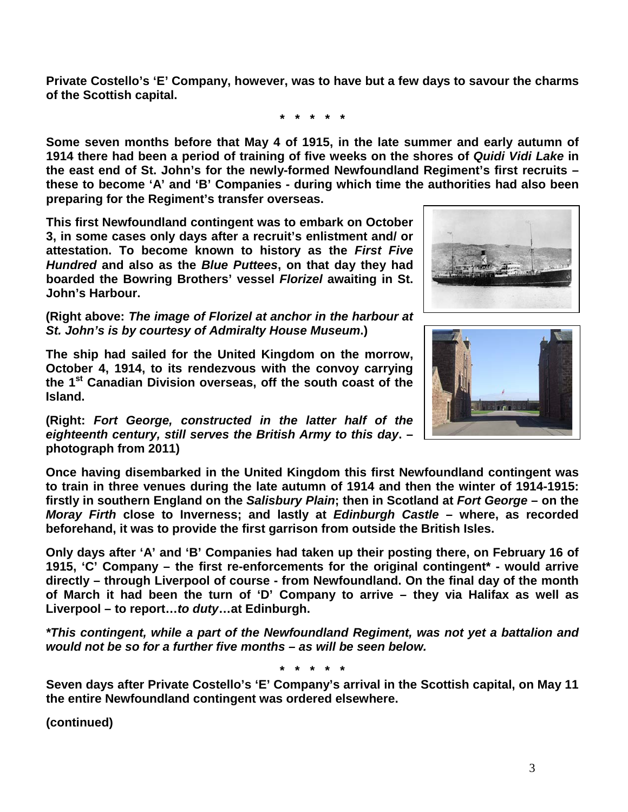**Private Costello's 'E' Company, however, was to have but a few days to savour the charms of the Scottish capital.**

**\* \* \* \* \***

**Some seven months before that May 4 of 1915, in the late summer and early autumn of 1914 there had been a period of training of five weeks on the shores of** *Quidi Vidi Lake* **in the east end of St. John's for the newly-formed Newfoundland Regiment's first recruits – these to become 'A' and 'B' Companies - during which time the authorities had also been preparing for the Regiment's transfer overseas.**

**This first Newfoundland contingent was to embark on October 3, in some cases only days after a recruit's enlistment and/ or attestation. To become known to history as the** *First Five Hundred* **and also as the** *Blue Puttees***, on that day they had boarded the Bowring Brothers' vessel** *Florizel* **awaiting in St. John's Harbour.**

**(Right above:** *The image of Florizel at anchor in the harbour at St. John's is by courtesy of Admiralty House Museum***.)**

**The ship had sailed for the United Kingdom on the morrow, October 4, 1914, to its rendezvous with the convoy carrying the 1st Canadian Division overseas, off the south coast of the Island.** 

**(Right:** *Fort George, constructed in the latter half of the eighteenth century, still serves the British Army to this day***. – photograph from 2011)**

**Once having disembarked in the United Kingdom this first Newfoundland contingent was to train in three venues during the late autumn of 1914 and then the winter of 1914-1915: firstly in southern England on the** *Salisbury Plain***; then in Scotland at** *Fort George* **– on the**  *Moray Firth* **close to Inverness; and lastly at** *Edinburgh Castle* **– where, as recorded beforehand, it was to provide the first garrison from outside the British Isles.** 

**Only days after 'A' and 'B' Companies had taken up their posting there, on February 16 of 1915, 'C' Company – the first re-enforcements for the original contingent\* - would arrive directly – through Liverpool of course - from Newfoundland. On the final day of the month of March it had been the turn of 'D' Company to arrive – they via Halifax as well as Liverpool – to report…***to duty***…at Edinburgh.**

*\*This contingent, while a part of the Newfoundland Regiment, was not yet a battalion and would not be so for a further five months – as will be seen below.*

**\* \* \* \* \***

**Seven days after Private Costello's 'E' Company's arrival in the Scottish capital, on May 11 the entire Newfoundland contingent was ordered elsewhere.** 



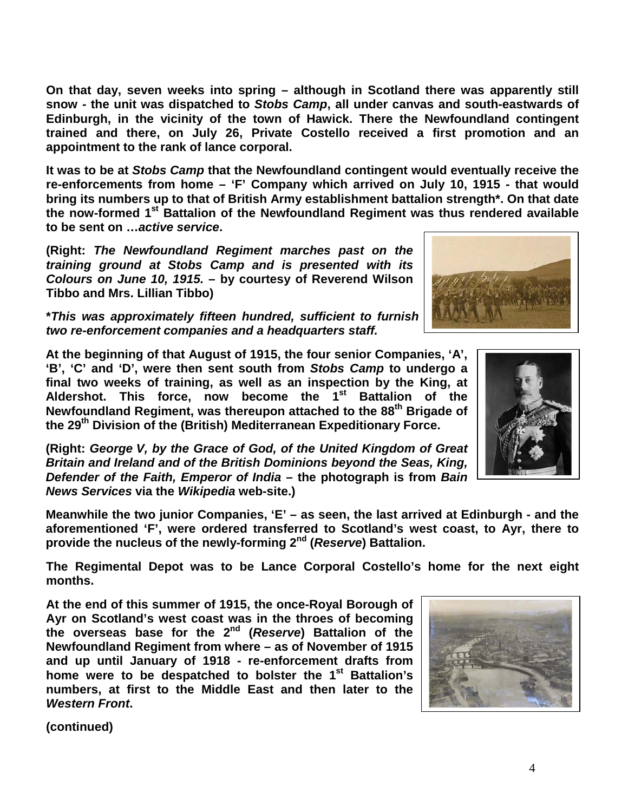**On that day, seven weeks into spring – although in Scotland there was apparently still snow - the unit was dispatched to** *Stobs Camp***, all under canvas and south-eastwards of Edinburgh, in the vicinity of the town of Hawick. There the Newfoundland contingent trained and there, on July 26, Private Costello received a first promotion and an appointment to the rank of lance corporal.**

**It was to be at** *Stobs Camp* **that the Newfoundland contingent would eventually receive the re-enforcements from home – 'F' Company which arrived on July 10, 1915 - that would bring its numbers up to that of British Army establishment battalion strength\*. On that date the now-formed 1st Battalion of the Newfoundland Regiment was thus rendered available to be sent on …***active service***.**

**(Right:** *The Newfoundland Regiment marches past on the training ground at Stobs Camp and is presented with its Colours on June 10, 1915.* **– by courtesy of Reverend Wilson Tibbo and Mrs. Lillian Tibbo)**

**\****This was approximately fifteen hundred, sufficient to furnish four 'fighting' companies, two re-enforcement companies and a headquarters staff.*

**At the beginning of that August of 1915, the four senior Companies, 'A', 'B', 'C' and 'D', were then sent south from** *Stobs Camp* **to undergo a final two weeks of training, as well as an inspection by the King, at Aldershot. This force, now become the 1st Battalion of the Newfoundland Regiment, was thereupon attached to the 88th Brigade of the 29th Division of the (British) Mediterranean Expeditionary Force.**

**(Right:** *George V, by the Grace of God, of the United Kingdom of Great Britain and Ireland and of the British Dominions beyond the Seas, King, Defender of the Faith, Emperor of India* **– the photograph is from** *Bain News Services* **via the** *Wikipedia* **web-site.)**

**Meanwhile the two junior Companies, 'E' – as seen, the last arrived at Edinburgh - and the aforementioned 'F', were ordered transferred to Scotland's west coast, to Ayr, there to provide the nucleus of the newly-forming 2nd (***Reserve***) Battalion.**

**The Regimental Depot was to be Lance Corporal Costello's home for the next eight months.**

**At the end of this summer of 1915, the once-Royal Borough of Ayr on Scotland's west coast was in the throes of becoming the overseas base for the 2nd (***Reserve***) Battalion of the Newfoundland Regiment from where – as of November of 1915 and up until January of 1918 - re-enforcement drafts from home were to be despatched to bolster the 1st Battalion's numbers, at first to the Middle East and then later to the**  *Western Front***.**





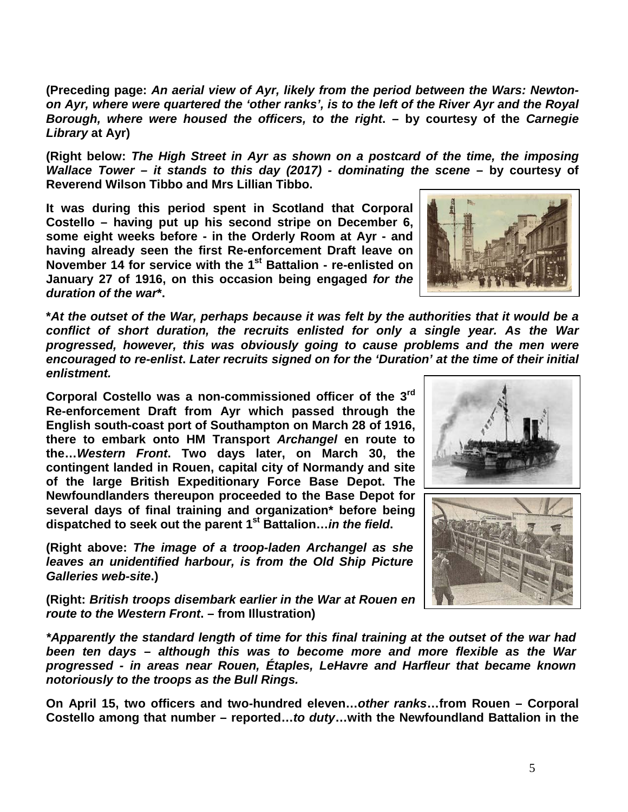**(Preceding page:** *An aerial view of Ayr, likely from the period between the Wars: Newtonon Ayr, where were quartered the 'other ranks', is to the left of the River Ayr and the Royal Borough, where were housed the officers, to the right***. – by courtesy of the** *Carnegie Library* **at Ayr)**

**(Right below:** *The High Street in Ayr as shown on a postcard of the time, the imposing Wallace Tower – it stands to this day (2017) - dominating the scene* **– by courtesy of Reverend Wilson Tibbo and Mrs Lillian Tibbo.**

**It was during this period spent in Scotland that Corporal Costello – having put up his second stripe on December 6, some eight weeks before - in the Orderly Room at Ayr - and having already seen the first Re-enforcement Draft leave on November 14 for service with the 1<sup>st</sup> Battalion - re-enlisted on January 27 of 1916, on this occasion being engaged** *for the duration of the war***\*.**

**\****At the outset of the War, perhaps because it was felt by the authorities that it would be a conflict of short duration, the recruits enlisted for only a single year. As the War progressed, however, this was obviously going to cause problems and the men were encouraged to re-enlist***.** *Later recruits signed on for the 'Duration' at the time of their initial enlistment.*

**Corporal Costello was a non-commissioned officer of the 3rd Re-enforcement Draft from Ayr which passed through the English south-coast port of Southampton on March 28 of 1916, there to embark onto HM Transport** *Archangel* **en route to the…***Western Front***. Two days later, on March 30, the contingent landed in Rouen, capital city of Normandy and site of the large British Expeditionary Force Base Depot. The Newfoundlanders thereupon proceeded to the Base Depot for several days of final training and organization\* before being dispatched to seek out the parent 1st Battalion…***in the field***.**

**(Right above:** *The image of a troop-laden Archangel as she leaves an unidentified harbour, is from the Old Ship Picture Galleries web-site***.)**

**(Right:** *British troops disembark earlier in the War at Rouen en route to the Western Front***. – from Illustration)**

*\*Apparently the standard length of time for this final training at the outset of the war had been ten days – although this was to become more and more flexible as the War progressed - in areas near Rouen, Étaples, LeHavre and Harfleur that became known notoriously to the troops as the Bull Rings.*

**On April 15, two officers and two-hundred eleven…***other ranks***…from Rouen – Corporal Costello among that number – reported…***to duty***…with the Newfoundland Battalion in the** 



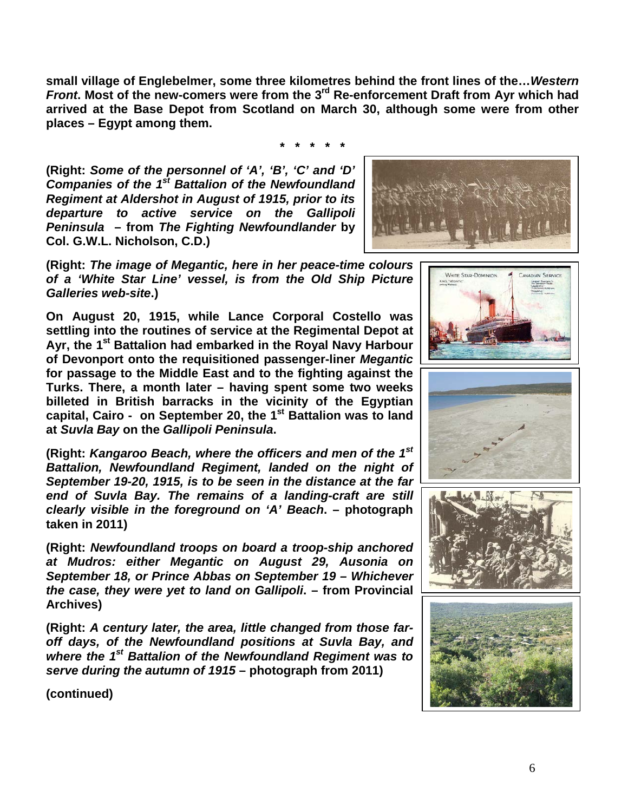**small village of Englebelmer, some three kilometres behind the front lines of the…***Western Front***. Most of the new-comers were from the 3rd Re-enforcement Draft from Ayr which had arrived at the Base Depot from Scotland on March 30, although some were from other places – Egypt among them.**

**\* \* \* \* \***

**(Right:** *Some of the personnel of 'A', 'B', 'C' and 'D' Companies of the 1st Battalion of the Newfoundland Regiment at Aldershot in August of 1915, prior to its departure to active service on the Gallipoli Peninsula* **– from** *The Fighting Newfoundlander* **by Col. G.W.L. Nicholson, C.D.)**



WHITE STAR-DOMINION

**(Right:** *The image of Megantic, here in her peace-time colours of a 'White Star Line' vessel, is from the Old Ship Picture Galleries web-site***.)**

**On August 20, 1915, while Lance Corporal Costello was settling into the routines of service at the Regimental Depot at Ayr, the 1st Battalion had embarked in the Royal Navy Harbour of Devonport onto the requisitioned passenger-liner** *Megantic* **for passage to the Middle East and to the fighting against the Turks. There, a month later – having spent some two weeks billeted in British barracks in the vicinity of the Egyptian**  capital, Cairo - on September 20, the 1<sup>st</sup> Battalion was to land **at** *Suvla Bay* **on the** *Gallipoli Peninsula***.**

**(Right:** *Kangaroo Beach, where the officers and men of the 1st Battalion, Newfoundland Regiment, landed on the night of September 19-20, 1915, is to be seen in the distance at the far end of Suvla Bay. The remains of a landing-craft are still clearly visible in the foreground on 'A' Beach***. – photograph taken in 2011)**

**(Right:** *Newfoundland troops on board a troop-ship anchored at Mudros: either Megantic on August 29, Ausonia on September 18, or Prince Abbas on September 19 – Whichever the case, they were yet to land on Gallipoli***. – from Provincial Archives)**

**(Right:** *A century later, the area, little changed from those faroff days, of the Newfoundland positions at Suvla Bay, and where the 1st Battalion of the Newfoundland Regiment was to serve during the autumn of 1915* **– photograph from 2011)**



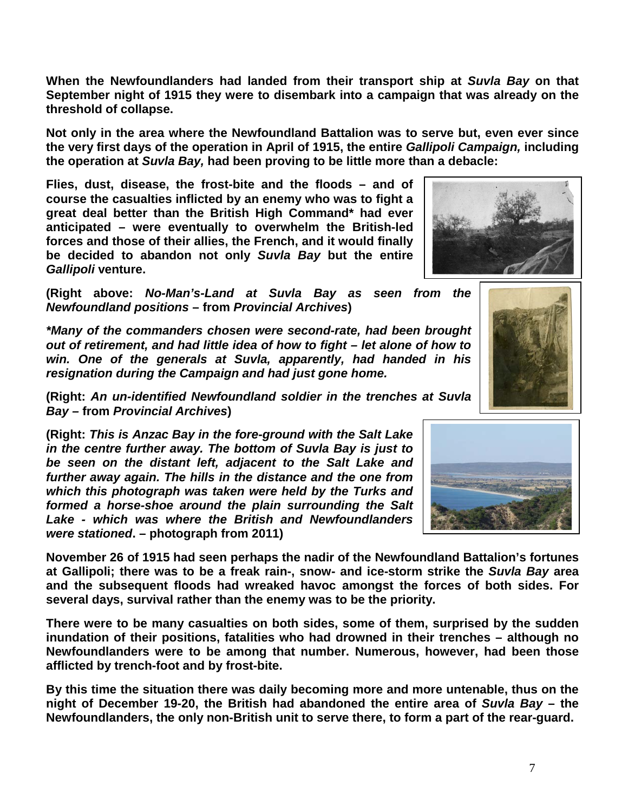7

**When the Newfoundlanders had landed from their transport ship at** *Suvla Bay* **on that September night of 1915 they were to disembark into a campaign that was already on the threshold of collapse.**

**Not only in the area where the Newfoundland Battalion was to serve but, even ever since the very first days of the operation in April of 1915, the entire** *Gallipoli Campaign,* **including the operation at** *Suvla Bay,* **had been proving to be little more than a debacle:** 

**Flies, dust, disease, the frost-bite and the floods – and of course the casualties inflicted by an enemy who was to fight a great deal better than the British High Command\* had ever anticipated – were eventually to overwhelm the British-led forces and those of their allies, the French, and it would finally be decided to abandon not only** *Suvla Bay* **but the entire**  *Gallipoli* **venture.**

**(Right above:** *No-Man's-Land at Suvla Bay as seen from the Newfoundland positions* **– from** *Provincial Archives***)**

*\*Many of the commanders chosen were second-rate, had been brought out of retirement, and had little idea of how to fight – let alone of how to win. One of the generals at Suvla, apparently, had handed in his resignation during the Campaign and had just gone home.*

**(Right:** *An un-identified Newfoundland soldier in the trenches at Suvla Bay –* **from** *Provincial Archives***)**

**(Right:** *This is Anzac Bay in the fore-ground with the Salt Lake in the centre further away. The bottom of Suvla Bay is just to be seen on the distant left, adjacent to the Salt Lake and further away again. The hills in the distance and the one from which this photograph was taken were held by the Turks and formed a horse-shoe around the plain surrounding the Salt Lake - which was where the British and Newfoundlanders were stationed***. – photograph from 2011)**

**November 26 of 1915 had seen perhaps the nadir of the Newfoundland Battalion's fortunes at Gallipoli; there was to be a freak rain-, snow- and ice-storm strike the** *Suvla Bay* **area and the subsequent floods had wreaked havoc amongst the forces of both sides. For several days, survival rather than the enemy was to be the priority.**

**There were to be many casualties on both sides, some of them, surprised by the sudden inundation of their positions, fatalities who had drowned in their trenches – although no Newfoundlanders were to be among that number. Numerous, however, had been those afflicted by trench-foot and by frost-bite.**

**By this time the situation there was daily becoming more and more untenable, thus on the night of December 19-20, the British had abandoned the entire area of** *Suvla Bay* **– the Newfoundlanders, the only non-British unit to serve there, to form a part of the rear-guard.**





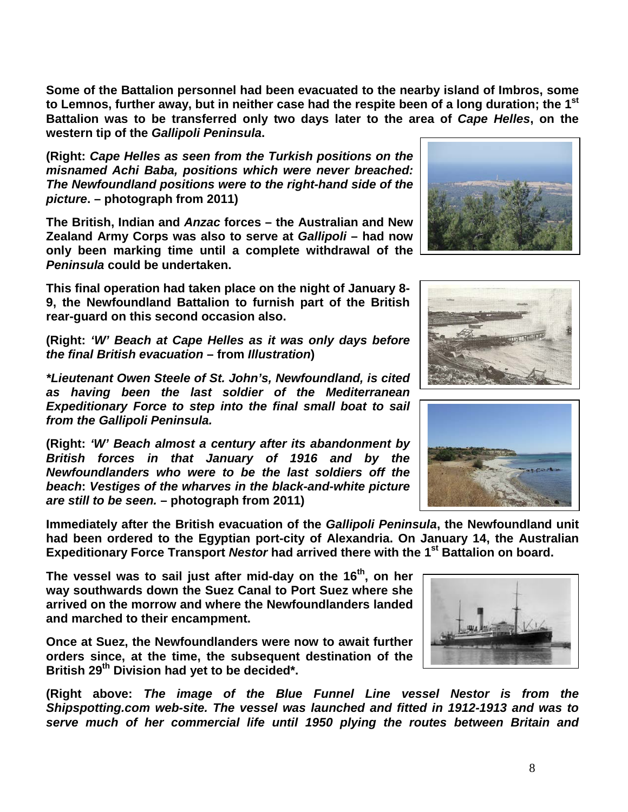**Some of the Battalion personnel had been evacuated to the nearby island of Imbros, some to Lemnos, further away, but in neither case had the respite been of a long duration; the 1st Battalion was to be transferred only two days later to the area of** *Cape Helles***, on the western tip of the** *Gallipoli Peninsula***.**

**(Right:** *Cape Helles as seen from the Turkish positions on the misnamed Achi Baba, positions which were never breached: The Newfoundland positions were to the right-hand side of the picture***. – photograph from 2011)**

**The British, Indian and** *Anzac* **forces – the Australian and New Zealand Army Corps was also to serve at** *Gallipoli* **– had now only been marking time until a complete withdrawal of the**  *Peninsula* **could be undertaken.** 

**This final operation had taken place on the night of January 8- 9, the Newfoundland Battalion to furnish part of the British rear-guard on this second occasion also.**

**(Right:** *'W' Beach at Cape Helles as it was only days before the final British evacuation* **– from** *Illustration***)**

*\*Lieutenant Owen Steele of St. John's, Newfoundland, is cited as having been the last soldier of the Mediterranean Expeditionary Force to step into the final small boat to sail from the Gallipoli Peninsula.*

**(Right:** *'W' Beach almost a century after its abandonment by British forces in that January of 1916 and by the Newfoundlanders who were to be the last soldiers off the beach***:** *Vestiges of the wharves in the black-and-white picture are still to be seen.* **– photograph from 2011)**

**Immediately after the British evacuation of the** *Gallipoli Peninsula***, the Newfoundland unit had been ordered to the Egyptian port-city of Alexandria. On January 14, the Australian Expeditionary Force Transport Nestor had arrived there with the 1<sup>st</sup> Battalion on board.** 

**The vessel was to sail just after mid-day on the 16th, on her way southwards down the Suez Canal to Port Suez where she arrived on the morrow and where the Newfoundlanders landed and marched to their encampment.** 

**Once at Suez, the Newfoundlanders were now to await further orders since, at the time, the subsequent destination of the British 29th Division had yet to be decided\*.**

**(Right above:** *The image of the Blue Funnel Line vessel Nestor is from the Shipspotting.com web-site. The vessel was launched and fitted in 1912-1913 and was to serve much of her commercial life until 1950 plying the routes between Britain and* 







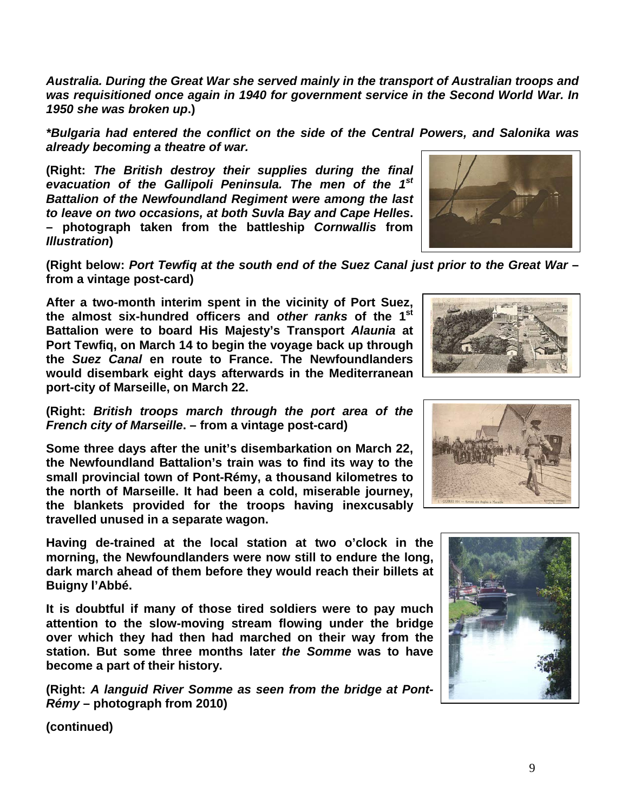*Australia. During the Great War she served mainly in the transport of Australian troops and was requisitioned once again in 1940 for government service in the Second World War. In 1950 she was broken up***.)**

*\*Bulgaria had entered the conflict on the side of the Central Powers, and Salonika was already becoming a theatre of war.*

**(Right:** *The British destroy their supplies during the final evacuation of the Gallipoli Peninsula. The men of the 1st Battalion of the Newfoundland Regiment were among the last to leave on two occasions, at both Suvla Bay and Cape Helles***. – photograph taken from the battleship** *Cornwallis* **from**  *Illustration***)**



**(Right below:** *Port Tewfiq at the south end of the Suez Canal just prior to the Great War* **– from a vintage post-card)**

**After a two-month interim spent in the vicinity of Port Suez, the almost six-hundred officers and** *other ranks* **of the 1st Battalion were to board His Majesty's Transport** *Alaunia* **at Port Tewfiq, on March 14 to begin the voyage back up through the** *Suez Canal* **en route to France. The Newfoundlanders would disembark eight days afterwards in the Mediterranean port-city of Marseille, on March 22.**



**(Right:** *British troops march through the port area of the French city of Marseille***. – from a vintage post-card)**

**Some three days after the unit's disembarkation on March 22, the Newfoundland Battalion's train was to find its way to the small provincial town of Pont-Rémy, a thousand kilometres to the north of Marseille. It had been a cold, miserable journey, the blankets provided for the troops having inexcusably travelled unused in a separate wagon.**

**Having de-trained at the local station at two o'clock in the morning, the Newfoundlanders were now still to endure the long, dark march ahead of them before they would reach their billets at Buigny l'Abbé.**

**It is doubtful if many of those tired soldiers were to pay much attention to the slow-moving stream flowing under the bridge over which they had then had marched on their way from the station. But some three months later** *the Somme* **was to have become a part of their history.**

**(Right:** *A languid River Somme as seen from the bridge at Pont-Rémy* **– photograph from 2010)**



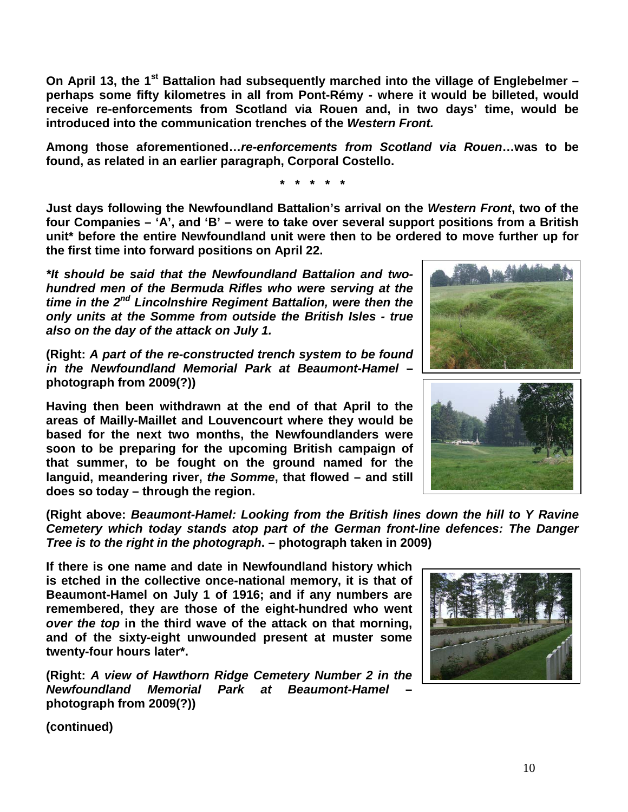**On April 13, the 1st Battalion had subsequently marched into the village of Englebelmer – perhaps some fifty kilometres in all from Pont-Rémy - where it would be billeted, would receive re-enforcements from Scotland via Rouen and, in two days' time, would be introduced into the communication trenches of the** *Western Front.*

**Among those aforementioned…***re-enforcements from Scotland via Rouen***…was to be found, as related in an earlier paragraph, Corporal Costello.**

**\* \* \* \* \***

**Just days following the Newfoundland Battalion's arrival on the** *Western Front***, two of the four Companies – 'A', and 'B' – were to take over several support positions from a British unit\* before the entire Newfoundland unit were then to be ordered to move further up for the first time into forward positions on April 22.**

*\*It should be said that the Newfoundland Battalion and twohundred men of the Bermuda Rifles who were serving at the time in the 2nd Lincolnshire Regiment Battalion, were then the only units at the Somme from outside the British Isles - true also on the day of the attack on July 1.*

**(Right:** *A part of the re-constructed trench system to be found in the Newfoundland Memorial Park at Beaumont-Hamel* **– photograph from 2009(?))**

**Having then been withdrawn at the end of that April to the areas of Mailly-Maillet and Louvencourt where they would be based for the next two months, the Newfoundlanders were soon to be preparing for the upcoming British campaign of that summer, to be fought on the ground named for the languid, meandering river,** *the Somme***, that flowed – and still does so today – through the region.** 





**(Right above:** *Beaumont-Hamel: Looking from the British lines down the hill to Y Ravine Cemetery which today stands atop part of the German front-line defences: The Danger Tree is to the right in the photograph***. – photograph taken in 2009)**

**If there is one name and date in Newfoundland history which is etched in the collective once-national memory, it is that of Beaumont-Hamel on July 1 of 1916; and if any numbers are remembered, they are those of the eight-hundred who went**  *over the top* **in the third wave of the attack on that morning, and of the sixty-eight unwounded present at muster some twenty-four hours later\*.**

**(Right:** *A view of Hawthorn Ridge Cemetery Number 2 in the Newfoundland Memorial Park at Beaumont-Hamel* **– photograph from 2009(?))**

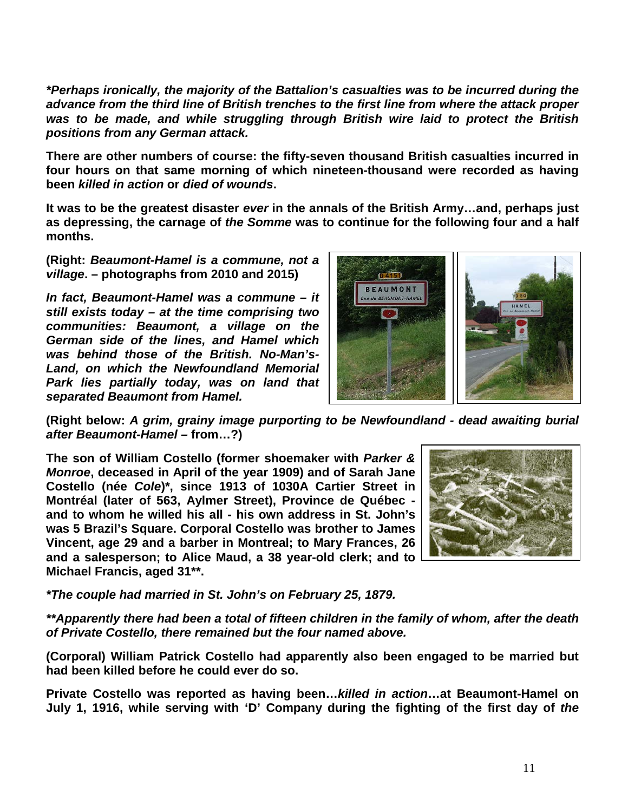*\*Perhaps ironically, the majority of the Battalion's casualties was to be incurred during the advance from the third line of British trenches to the first line from where the attack proper was to be made, and while struggling through British wire laid to protect the British positions from any German attack.*

**There are other numbers of course: the fifty-seven thousand British casualties incurred in four hours on that same morning of which nineteen-thousand were recorded as having been** *killed in action* **or** *died of wounds***.** 

**It was to be the greatest disaster** *ever* **in the annals of the British Army…and, perhaps just as depressing, the carnage of** *the Somme* **was to continue for the following four and a half months.**

**(Right:** *Beaumont-Hamel is a commune, not a village***. – photographs from 2010 and 2015)**

*In fact, Beaumont-Hamel was a commune – it still exists today – at the time comprising two communities: Beaumont, a village on the German side of the lines, and Hamel which was behind those of the British. No-Man's-Land, on which the Newfoundland Memorial Park lies partially today, was on land that separated Beaumont from Hamel.* 



**(Right below:** *A grim, grainy image purporting to be Newfoundland - dead awaiting burial after Beaumont-Hamel –* **from…?)**

**The son of William Costello (former shoemaker with** *Parker & Monroe***, deceased in April of the year 1909) and of Sarah Jane Costello (née** *Cole***)\*, since 1913 of 1030A Cartier Street in Montréal (later of 563, Aylmer Street), Province de Québec and to whom he willed his all - his own address in St. John's was 5 Brazil's Square. Corporal Costello was brother to James Vincent, age 29 and a barber in Montreal; to Mary Frances, 26 and a salesperson; to Alice Maud, a 38 year-old clerk; and to Michael Francis, aged 31\*\*.**



*\*The couple had married in St. John's on February 25, 1879.*

*\*\*Apparently there had been a total of fifteen children in the family of whom, after the death of Private Costello, there remained but the four named above.*

**(Corporal) William Patrick Costello had apparently also been engaged to be married but had been killed before he could ever do so.**

**Private Costello was reported as having been…***killed in action***…at Beaumont-Hamel on July 1, 1916, while serving with 'D' Company during the fighting of the first day of** *the*